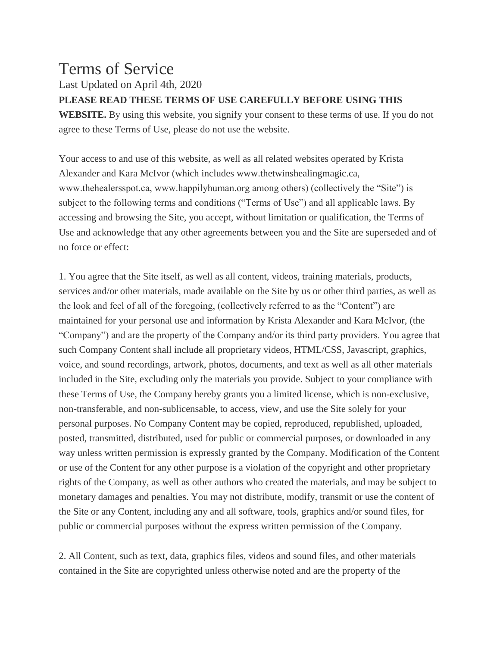## Terms of Service

Last Updated on April 4th, 2020

## **PLEASE READ THESE TERMS OF USE CAREFULLY BEFORE USING THIS**

**WEBSITE.** By using this website, you signify your consent to these terms of use. If you do not agree to these Terms of Use, please do not use the website.

Your access to and use of this website, as well as all related websites operated by Krista Alexander and Kara McIvor (which includes www.thetwinshealingmagic.ca, www.thehealersspot.ca, www.happilyhuman.org among others) (collectively the "Site") is subject to the following terms and conditions ("Terms of Use") and all applicable laws. By accessing and browsing the Site, you accept, without limitation or qualification, the Terms of Use and acknowledge that any other agreements between you and the Site are superseded and of no force or effect:

1. You agree that the Site itself, as well as all content, videos, training materials, products, services and/or other materials, made available on the Site by us or other third parties, as well as the look and feel of all of the foregoing, (collectively referred to as the "Content") are maintained for your personal use and information by Krista Alexander and Kara McIvor, (the "Company") and are the property of the Company and/or its third party providers. You agree that such Company Content shall include all proprietary videos, HTML/CSS, Javascript, graphics, voice, and sound recordings, artwork, photos, documents, and text as well as all other materials included in the Site, excluding only the materials you provide. Subject to your compliance with these Terms of Use, the Company hereby grants you a limited license, which is non-exclusive, non-transferable, and non-sublicensable, to access, view, and use the Site solely for your personal purposes. No Company Content may be copied, reproduced, republished, uploaded, posted, transmitted, distributed, used for public or commercial purposes, or downloaded in any way unless written permission is expressly granted by the Company. Modification of the Content or use of the Content for any other purpose is a violation of the copyright and other proprietary rights of the Company, as well as other authors who created the materials, and may be subject to monetary damages and penalties. You may not distribute, modify, transmit or use the content of the Site or any Content, including any and all software, tools, graphics and/or sound files, for public or commercial purposes without the express written permission of the Company.

2. All Content, such as text, data, graphics files, videos and sound files, and other materials contained in the Site are copyrighted unless otherwise noted and are the property of the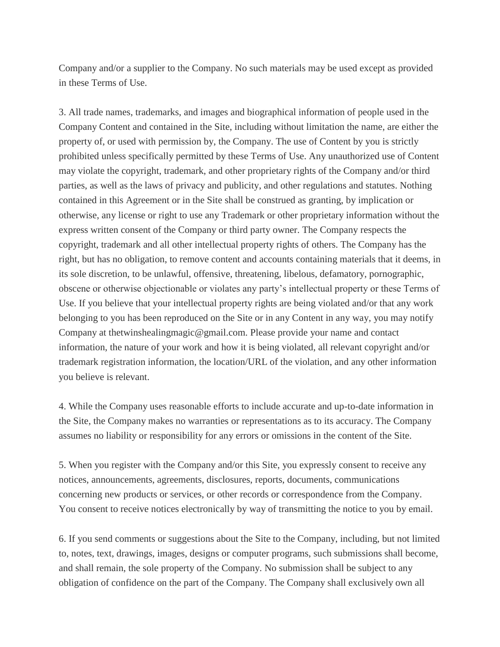Company and/or a supplier to the Company. No such materials may be used except as provided in these Terms of Use.

3. All trade names, trademarks, and images and biographical information of people used in the Company Content and contained in the Site, including without limitation the name, are either the property of, or used with permission by, the Company. The use of Content by you is strictly prohibited unless specifically permitted by these Terms of Use. Any unauthorized use of Content may violate the copyright, trademark, and other proprietary rights of the Company and/or third parties, as well as the laws of privacy and publicity, and other regulations and statutes. Nothing contained in this Agreement or in the Site shall be construed as granting, by implication or otherwise, any license or right to use any Trademark or other proprietary information without the express written consent of the Company or third party owner. The Company respects the copyright, trademark and all other intellectual property rights of others. The Company has the right, but has no obligation, to remove content and accounts containing materials that it deems, in its sole discretion, to be unlawful, offensive, threatening, libelous, defamatory, pornographic, obscene or otherwise objectionable or violates any party's intellectual property or these Terms of Use. If you believe that your intellectual property rights are being violated and/or that any work belonging to you has been reproduced on the Site or in any Content in any way, you may notify Company at thetwinshealingmagic@gmail.com. Please provide your name and contact information, the nature of your work and how it is being violated, all relevant copyright and/or trademark registration information, the location/URL of the violation, and any other information you believe is relevant.

4. While the Company uses reasonable efforts to include accurate and up-to-date information in the Site, the Company makes no warranties or representations as to its accuracy. The Company assumes no liability or responsibility for any errors or omissions in the content of the Site.

5. When you register with the Company and/or this Site, you expressly consent to receive any notices, announcements, agreements, disclosures, reports, documents, communications concerning new products or services, or other records or correspondence from the Company. You consent to receive notices electronically by way of transmitting the notice to you by email.

6. If you send comments or suggestions about the Site to the Company, including, but not limited to, notes, text, drawings, images, designs or computer programs, such submissions shall become, and shall remain, the sole property of the Company. No submission shall be subject to any obligation of confidence on the part of the Company. The Company shall exclusively own all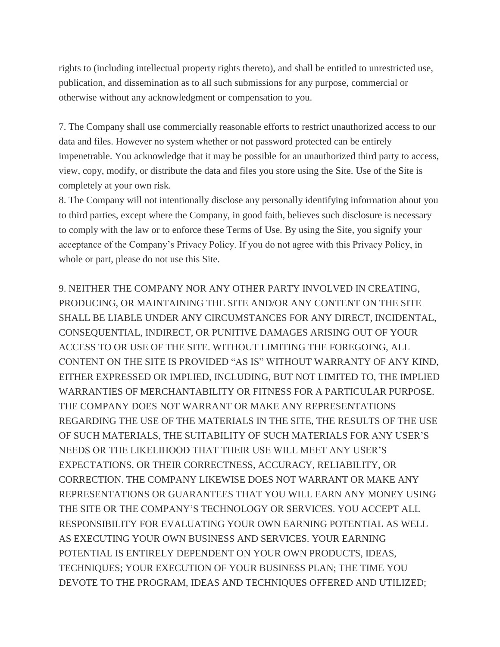rights to (including intellectual property rights thereto), and shall be entitled to unrestricted use, publication, and dissemination as to all such submissions for any purpose, commercial or otherwise without any acknowledgment or compensation to you.

7. The Company shall use commercially reasonable efforts to restrict unauthorized access to our data and files. However no system whether or not password protected can be entirely impenetrable. You acknowledge that it may be possible for an unauthorized third party to access, view, copy, modify, or distribute the data and files you store using the Site. Use of the Site is completely at your own risk.

8. The Company will not intentionally disclose any personally identifying information about you to third parties, except where the Company, in good faith, believes such disclosure is necessary to comply with the law or to enforce these Terms of Use. By using the Site, you signify your acceptance of the Company's Privacy Policy. If you do not agree with this Privacy Policy, in whole or part, please do not use this Site.

9. NEITHER THE COMPANY NOR ANY OTHER PARTY INVOLVED IN CREATING, PRODUCING, OR MAINTAINING THE SITE AND/OR ANY CONTENT ON THE SITE SHALL BE LIABLE UNDER ANY CIRCUMSTANCES FOR ANY DIRECT, INCIDENTAL, CONSEQUENTIAL, INDIRECT, OR PUNITIVE DAMAGES ARISING OUT OF YOUR ACCESS TO OR USE OF THE SITE. WITHOUT LIMITING THE FOREGOING, ALL CONTENT ON THE SITE IS PROVIDED "AS IS" WITHOUT WARRANTY OF ANY KIND, EITHER EXPRESSED OR IMPLIED, INCLUDING, BUT NOT LIMITED TO, THE IMPLIED WARRANTIES OF MERCHANTABILITY OR FITNESS FOR A PARTICULAR PURPOSE. THE COMPANY DOES NOT WARRANT OR MAKE ANY REPRESENTATIONS REGARDING THE USE OF THE MATERIALS IN THE SITE, THE RESULTS OF THE USE OF SUCH MATERIALS, THE SUITABILITY OF SUCH MATERIALS FOR ANY USER'S NEEDS OR THE LIKELIHOOD THAT THEIR USE WILL MEET ANY USER'S EXPECTATIONS, OR THEIR CORRECTNESS, ACCURACY, RELIABILITY, OR CORRECTION. THE COMPANY LIKEWISE DOES NOT WARRANT OR MAKE ANY REPRESENTATIONS OR GUARANTEES THAT YOU WILL EARN ANY MONEY USING THE SITE OR THE COMPANY'S TECHNOLOGY OR SERVICES. YOU ACCEPT ALL RESPONSIBILITY FOR EVALUATING YOUR OWN EARNING POTENTIAL AS WELL AS EXECUTING YOUR OWN BUSINESS AND SERVICES. YOUR EARNING POTENTIAL IS ENTIRELY DEPENDENT ON YOUR OWN PRODUCTS, IDEAS, TECHNIQUES; YOUR EXECUTION OF YOUR BUSINESS PLAN; THE TIME YOU DEVOTE TO THE PROGRAM, IDEAS AND TECHNIQUES OFFERED AND UTILIZED;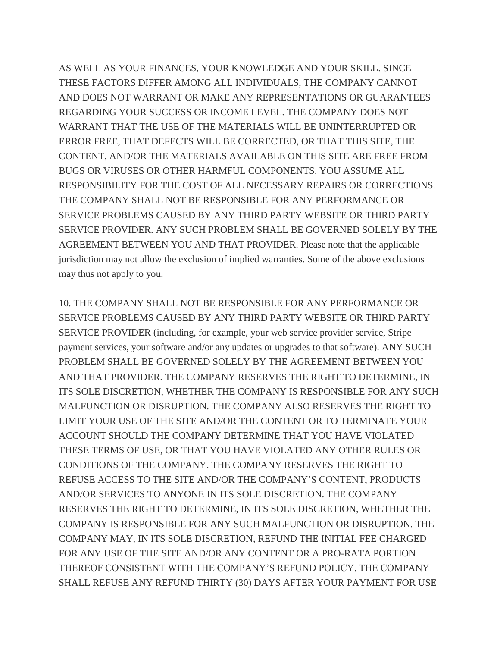AS WELL AS YOUR FINANCES, YOUR KNOWLEDGE AND YOUR SKILL. SINCE THESE FACTORS DIFFER AMONG ALL INDIVIDUALS, THE COMPANY CANNOT AND DOES NOT WARRANT OR MAKE ANY REPRESENTATIONS OR GUARANTEES REGARDING YOUR SUCCESS OR INCOME LEVEL. THE COMPANY DOES NOT WARRANT THAT THE USE OF THE MATERIALS WILL BE UNINTERRUPTED OR ERROR FREE, THAT DEFECTS WILL BE CORRECTED, OR THAT THIS SITE, THE CONTENT, AND/OR THE MATERIALS AVAILABLE ON THIS SITE ARE FREE FROM BUGS OR VIRUSES OR OTHER HARMFUL COMPONENTS. YOU ASSUME ALL RESPONSIBILITY FOR THE COST OF ALL NECESSARY REPAIRS OR CORRECTIONS. THE COMPANY SHALL NOT BE RESPONSIBLE FOR ANY PERFORMANCE OR SERVICE PROBLEMS CAUSED BY ANY THIRD PARTY WEBSITE OR THIRD PARTY SERVICE PROVIDER. ANY SUCH PROBLEM SHALL BE GOVERNED SOLELY BY THE AGREEMENT BETWEEN YOU AND THAT PROVIDER. Please note that the applicable jurisdiction may not allow the exclusion of implied warranties. Some of the above exclusions may thus not apply to you.

10. THE COMPANY SHALL NOT BE RESPONSIBLE FOR ANY PERFORMANCE OR SERVICE PROBLEMS CAUSED BY ANY THIRD PARTY WEBSITE OR THIRD PARTY SERVICE PROVIDER (including, for example, your web service provider service, Stripe payment services, your software and/or any updates or upgrades to that software). ANY SUCH PROBLEM SHALL BE GOVERNED SOLELY BY THE AGREEMENT BETWEEN YOU AND THAT PROVIDER. THE COMPANY RESERVES THE RIGHT TO DETERMINE, IN ITS SOLE DISCRETION, WHETHER THE COMPANY IS RESPONSIBLE FOR ANY SUCH MALFUNCTION OR DISRUPTION. THE COMPANY ALSO RESERVES THE RIGHT TO LIMIT YOUR USE OF THE SITE AND/OR THE CONTENT OR TO TERMINATE YOUR ACCOUNT SHOULD THE COMPANY DETERMINE THAT YOU HAVE VIOLATED THESE TERMS OF USE, OR THAT YOU HAVE VIOLATED ANY OTHER RULES OR CONDITIONS OF THE COMPANY. THE COMPANY RESERVES THE RIGHT TO REFUSE ACCESS TO THE SITE AND/OR THE COMPANY'S CONTENT, PRODUCTS AND/OR SERVICES TO ANYONE IN ITS SOLE DISCRETION. THE COMPANY RESERVES THE RIGHT TO DETERMINE, IN ITS SOLE DISCRETION, WHETHER THE COMPANY IS RESPONSIBLE FOR ANY SUCH MALFUNCTION OR DISRUPTION. THE COMPANY MAY, IN ITS SOLE DISCRETION, REFUND THE INITIAL FEE CHARGED FOR ANY USE OF THE SITE AND/OR ANY CONTENT OR A PRO-RATA PORTION THEREOF CONSISTENT WITH THE COMPANY'S REFUND POLICY. THE COMPANY SHALL REFUSE ANY REFUND THIRTY (30) DAYS AFTER YOUR PAYMENT FOR USE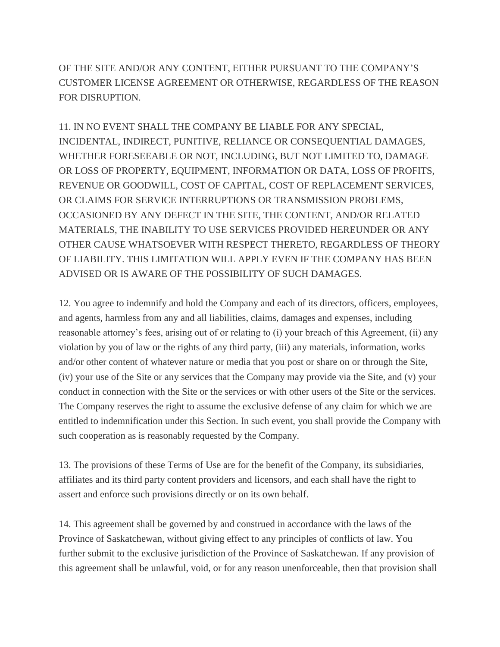OF THE SITE AND/OR ANY CONTENT, EITHER PURSUANT TO THE COMPANY'S CUSTOMER LICENSE AGREEMENT OR OTHERWISE, REGARDLESS OF THE REASON FOR DISRUPTION.

11. IN NO EVENT SHALL THE COMPANY BE LIABLE FOR ANY SPECIAL, INCIDENTAL, INDIRECT, PUNITIVE, RELIANCE OR CONSEQUENTIAL DAMAGES, WHETHER FORESEEABLE OR NOT, INCLUDING, BUT NOT LIMITED TO, DAMAGE OR LOSS OF PROPERTY, EQUIPMENT, INFORMATION OR DATA, LOSS OF PROFITS, REVENUE OR GOODWILL, COST OF CAPITAL, COST OF REPLACEMENT SERVICES, OR CLAIMS FOR SERVICE INTERRUPTIONS OR TRANSMISSION PROBLEMS, OCCASIONED BY ANY DEFECT IN THE SITE, THE CONTENT, AND/OR RELATED MATERIALS, THE INABILITY TO USE SERVICES PROVIDED HEREUNDER OR ANY OTHER CAUSE WHATSOEVER WITH RESPECT THERETO, REGARDLESS OF THEORY OF LIABILITY. THIS LIMITATION WILL APPLY EVEN IF THE COMPANY HAS BEEN ADVISED OR IS AWARE OF THE POSSIBILITY OF SUCH DAMAGES.

12. You agree to indemnify and hold the Company and each of its directors, officers, employees, and agents, harmless from any and all liabilities, claims, damages and expenses, including reasonable attorney's fees, arising out of or relating to (i) your breach of this Agreement, (ii) any violation by you of law or the rights of any third party, (iii) any materials, information, works and/or other content of whatever nature or media that you post or share on or through the Site, (iv) your use of the Site or any services that the Company may provide via the Site, and (v) your conduct in connection with the Site or the services or with other users of the Site or the services. The Company reserves the right to assume the exclusive defense of any claim for which we are entitled to indemnification under this Section. In such event, you shall provide the Company with such cooperation as is reasonably requested by the Company.

13. The provisions of these Terms of Use are for the benefit of the Company, its subsidiaries, affiliates and its third party content providers and licensors, and each shall have the right to assert and enforce such provisions directly or on its own behalf.

14. This agreement shall be governed by and construed in accordance with the laws of the Province of Saskatchewan, without giving effect to any principles of conflicts of law. You further submit to the exclusive jurisdiction of the Province of Saskatchewan. If any provision of this agreement shall be unlawful, void, or for any reason unenforceable, then that provision shall